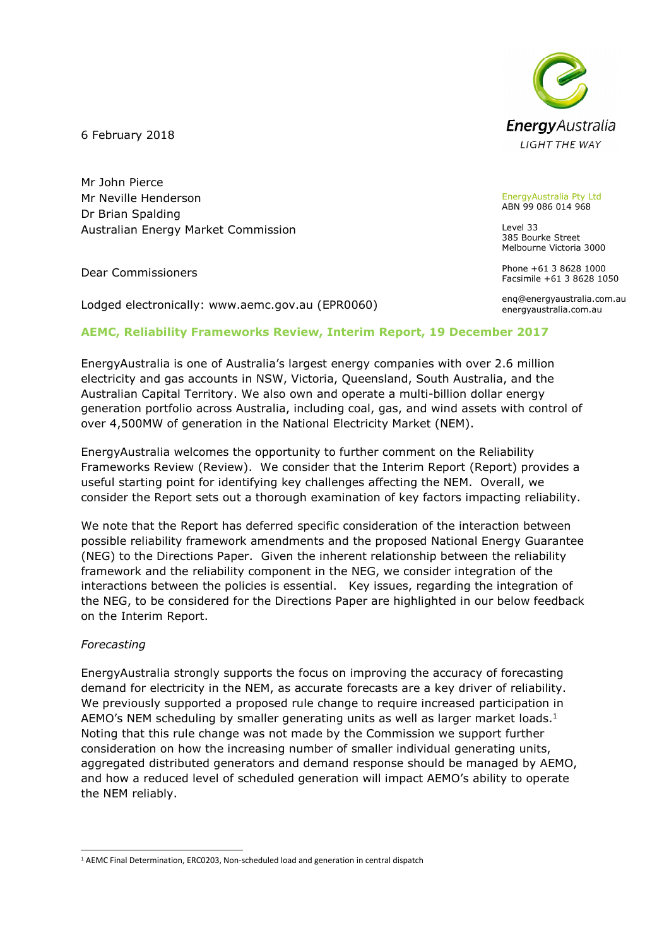**Energy** Australia **LIGHT THE WAY** 

6 February 2018

Mr John Pierce Mr Neville Henderson Dr Brian Spalding Australian Energy Market Commission

Dear Commissioners

Lodged electronically: www.aemc.gov.au (EPR0060)

#### EnergyAustralia Pty Ltd ABN 99 086 014 968

Level 33 385 Bourke Street Melbourne Victoria 3000

Phone +61 3 8628 1000 Facsimile +61 3 8628 1050

enq@energyaustralia.com.au energyaustralia.com.au

# AEMC, Reliability Frameworks Review, Interim Report, 19 December 2017

EnergyAustralia is one of Australia's largest energy companies with over 2.6 million electricity and gas accounts in NSW, Victoria, Queensland, South Australia, and the Australian Capital Territory. We also own and operate a multi-billion dollar energy generation portfolio across Australia, including coal, gas, and wind assets with control of over 4,500MW of generation in the National Electricity Market (NEM).

EnergyAustralia welcomes the opportunity to further comment on the Reliability Frameworks Review (Review). We consider that the Interim Report (Report) provides a useful starting point for identifying key challenges affecting the NEM. Overall, we consider the Report sets out a thorough examination of key factors impacting reliability.

We note that the Report has deferred specific consideration of the interaction between possible reliability framework amendments and the proposed National Energy Guarantee (NEG) to the Directions Paper. Given the inherent relationship between the reliability framework and the reliability component in the NEG, we consider integration of the interactions between the policies is essential. Key issues, regarding the integration of the NEG, to be considered for the Directions Paper are highlighted in our below feedback on the Interim Report.

### Forecasting

EnergyAustralia strongly supports the focus on improving the accuracy of forecasting demand for electricity in the NEM, as accurate forecasts are a key driver of reliability. We previously supported a proposed rule change to require increased participation in AEMO's NEM scheduling by smaller generating units as well as larger market loads.<sup>1</sup> Noting that this rule change was not made by the Commission we support further consideration on how the increasing number of smaller individual generating units, aggregated distributed generators and demand response should be managed by AEMO, and how a reduced level of scheduled generation will impact AEMO's ability to operate the NEM reliably.

ł <sup>1</sup> AEMC Final Determination, ERC0203, Non-scheduled load and generation in central dispatch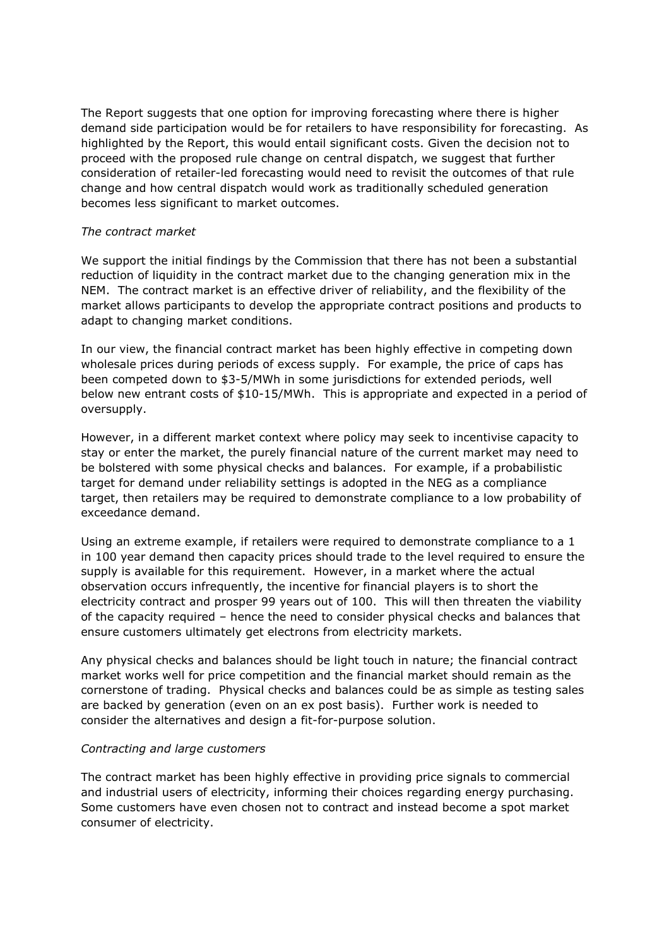The Report suggests that one option for improving forecasting where there is higher demand side participation would be for retailers to have responsibility for forecasting. As highlighted by the Report, this would entail significant costs. Given the decision not to proceed with the proposed rule change on central dispatch, we suggest that further consideration of retailer-led forecasting would need to revisit the outcomes of that rule change and how central dispatch would work as traditionally scheduled generation becomes less significant to market outcomes.

# The contract market

We support the initial findings by the Commission that there has not been a substantial reduction of liquidity in the contract market due to the changing generation mix in the NEM. The contract market is an effective driver of reliability, and the flexibility of the market allows participants to develop the appropriate contract positions and products to adapt to changing market conditions.

In our view, the financial contract market has been highly effective in competing down wholesale prices during periods of excess supply. For example, the price of caps has been competed down to \$3-5/MWh in some jurisdictions for extended periods, well below new entrant costs of \$10-15/MWh. This is appropriate and expected in a period of oversupply.

However, in a different market context where policy may seek to incentivise capacity to stay or enter the market, the purely financial nature of the current market may need to be bolstered with some physical checks and balances. For example, if a probabilistic target for demand under reliability settings is adopted in the NEG as a compliance target, then retailers may be required to demonstrate compliance to a low probability of exceedance demand.

Using an extreme example, if retailers were required to demonstrate compliance to a 1 in 100 year demand then capacity prices should trade to the level required to ensure the supply is available for this requirement. However, in a market where the actual observation occurs infrequently, the incentive for financial players is to short the electricity contract and prosper 99 years out of 100. This will then threaten the viability of the capacity required – hence the need to consider physical checks and balances that ensure customers ultimately get electrons from electricity markets.

Any physical checks and balances should be light touch in nature; the financial contract market works well for price competition and the financial market should remain as the cornerstone of trading. Physical checks and balances could be as simple as testing sales are backed by generation (even on an ex post basis). Further work is needed to consider the alternatives and design a fit-for-purpose solution.

### Contracting and large customers

The contract market has been highly effective in providing price signals to commercial and industrial users of electricity, informing their choices regarding energy purchasing. Some customers have even chosen not to contract and instead become a spot market consumer of electricity.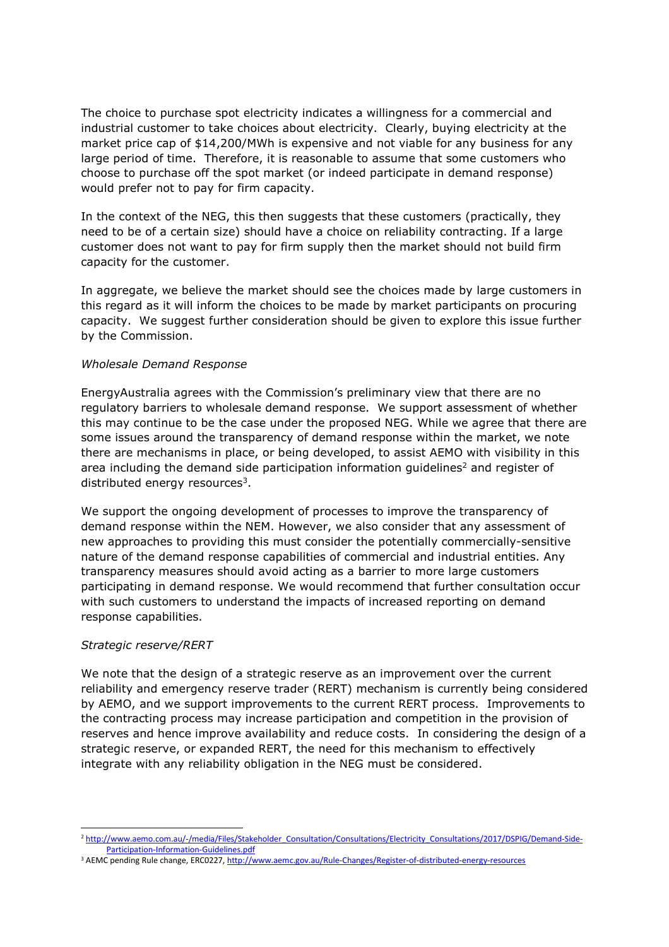The choice to purchase spot electricity indicates a willingness for a commercial and industrial customer to take choices about electricity. Clearly, buying electricity at the market price cap of \$14,200/MWh is expensive and not viable for any business for any large period of time. Therefore, it is reasonable to assume that some customers who choose to purchase off the spot market (or indeed participate in demand response) would prefer not to pay for firm capacity.

In the context of the NEG, this then suggests that these customers (practically, they need to be of a certain size) should have a choice on reliability contracting. If a large customer does not want to pay for firm supply then the market should not build firm capacity for the customer.

In aggregate, we believe the market should see the choices made by large customers in this regard as it will inform the choices to be made by market participants on procuring capacity. We suggest further consideration should be given to explore this issue further by the Commission.

### Wholesale Demand Response

EnergyAustralia agrees with the Commission's preliminary view that there are no regulatory barriers to wholesale demand response. We support assessment of whether this may continue to be the case under the proposed NEG. While we agree that there are some issues around the transparency of demand response within the market, we note there are mechanisms in place, or being developed, to assist AEMO with visibility in this area including the demand side participation information guidelines<sup>2</sup> and register of distributed energy resources<sup>3</sup>.

We support the ongoing development of processes to improve the transparency of demand response within the NEM. However, we also consider that any assessment of new approaches to providing this must consider the potentially commercially-sensitive nature of the demand response capabilities of commercial and industrial entities. Any transparency measures should avoid acting as a barrier to more large customers participating in demand response. We would recommend that further consultation occur with such customers to understand the impacts of increased reporting on demand response capabilities.

### Strategic reserve/RERT

ł

We note that the design of a strategic reserve as an improvement over the current reliability and emergency reserve trader (RERT) mechanism is currently being considered by AEMO, and we support improvements to the current RERT process. Improvements to the contracting process may increase participation and competition in the provision of reserves and hence improve availability and reduce costs. In considering the design of a strategic reserve, or expanded RERT, the need for this mechanism to effectively integrate with any reliability obligation in the NEG must be considered.

<sup>&</sup>lt;sup>2</sup> http://www.aemo.com.au/-/media/Files/Stakeholder\_Consultation/Consultations/Electricity\_Consultations/2017/DSPIG/Demand-Side-Participation-Information-Guidelines.pdf

<sup>&</sup>lt;sup>3</sup> AEMC pending Rule change, ERC0227, http://www.aemc.gov.au/Rule-Changes/Register-of-distributed-energy-resources